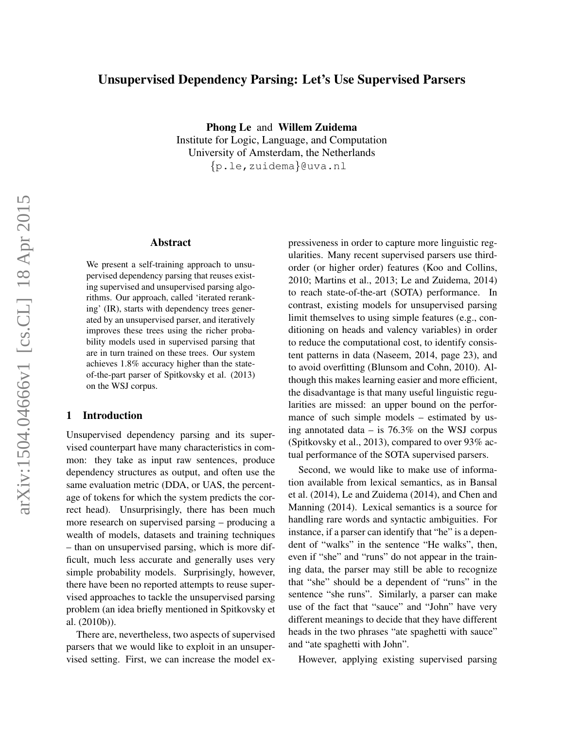# Unsupervised Dependency Parsing: Let's Use Supervised Parsers

Phong Le and Willem Zuidema

Institute for Logic, Language, and Computation University of Amsterdam, the Netherlands {p.le,zuidema}@uva.nl

# Abstract

We present a self-training approach to unsupervised dependency parsing that reuses existing supervised and unsupervised parsing algorithms. Our approach, called 'iterated reranking' (IR), starts with dependency trees generated by an unsupervised parser, and iteratively improves these trees using the richer probability models used in supervised parsing that are in turn trained on these trees. Our system achieves 1.8% accuracy higher than the stateof-the-part parser of Spitkovsky et al. (2013) on the WSJ corpus.

### 1 Introduction

Unsupervised dependency parsing and its supervised counterpart have many characteristics in common: they take as input raw sentences, produce dependency structures as output, and often use the same evaluation metric (DDA, or UAS, the percentage of tokens for which the system predicts the correct head). Unsurprisingly, there has been much more research on supervised parsing – producing a wealth of models, datasets and training techniques – than on unsupervised parsing, which is more difficult, much less accurate and generally uses very simple probability models. Surprisingly, however, there have been no reported attempts to reuse supervised approaches to tackle the unsupervised parsing problem (an idea briefly mentioned in Spitkovsky et al. (2010b)).

There are, nevertheless, two aspects of supervised parsers that we would like to exploit in an unsupervised setting. First, we can increase the model expressiveness in order to capture more linguistic regularities. Many recent supervised parsers use thirdorder (or higher order) features (Koo and Collins, 2010; Martins et al., 2013; Le and Zuidema, 2014) to reach state-of-the-art (SOTA) performance. In contrast, existing models for unsupervised parsing limit themselves to using simple features (e.g., conditioning on heads and valency variables) in order to reduce the computational cost, to identify consistent patterns in data (Naseem, 2014, page 23), and to avoid overfitting (Blunsom and Cohn, 2010). Although this makes learning easier and more efficient, the disadvantage is that many useful linguistic regularities are missed: an upper bound on the performance of such simple models – estimated by using annotated data – is 76.3% on the WSJ corpus (Spitkovsky et al., 2013), compared to over 93% actual performance of the SOTA supervised parsers.

Second, we would like to make use of information available from lexical semantics, as in Bansal et al. (2014), Le and Zuidema (2014), and Chen and Manning (2014). Lexical semantics is a source for handling rare words and syntactic ambiguities. For instance, if a parser can identify that "he" is a dependent of "walks" in the sentence "He walks", then, even if "she" and "runs" do not appear in the training data, the parser may still be able to recognize that "she" should be a dependent of "runs" in the sentence "she runs". Similarly, a parser can make use of the fact that "sauce" and "John" have very different meanings to decide that they have different heads in the two phrases "ate spaghetti with sauce" and "ate spaghetti with John".

However, applying existing supervised parsing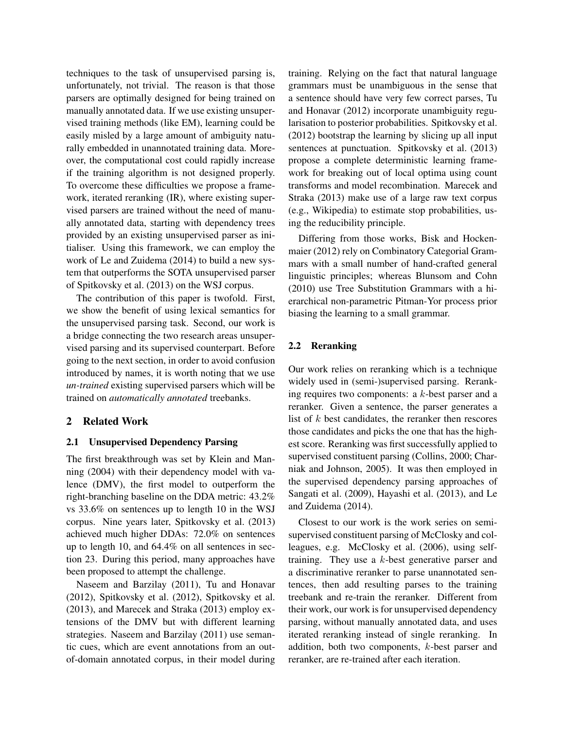techniques to the task of unsupervised parsing is, unfortunately, not trivial. The reason is that those parsers are optimally designed for being trained on manually annotated data. If we use existing unsupervised training methods (like EM), learning could be easily misled by a large amount of ambiguity naturally embedded in unannotated training data. Moreover, the computational cost could rapidly increase if the training algorithm is not designed properly. To overcome these difficulties we propose a framework, iterated reranking (IR), where existing supervised parsers are trained without the need of manually annotated data, starting with dependency trees provided by an existing unsupervised parser as initialiser. Using this framework, we can employ the work of Le and Zuidema (2014) to build a new system that outperforms the SOTA unsupervised parser of Spitkovsky et al. (2013) on the WSJ corpus.

The contribution of this paper is twofold. First, we show the benefit of using lexical semantics for the unsupervised parsing task. Second, our work is a bridge connecting the two research areas unsupervised parsing and its supervised counterpart. Before going to the next section, in order to avoid confusion introduced by names, it is worth noting that we use *un-trained* existing supervised parsers which will be trained on *automatically annotated* treebanks.

# 2 Related Work

#### 2.1 Unsupervised Dependency Parsing

The first breakthrough was set by Klein and Manning (2004) with their dependency model with valence (DMV), the first model to outperform the right-branching baseline on the DDA metric: 43.2% vs 33.6% on sentences up to length 10 in the WSJ corpus. Nine years later, Spitkovsky et al. (2013) achieved much higher DDAs: 72.0% on sentences up to length 10, and 64.4% on all sentences in section 23. During this period, many approaches have been proposed to attempt the challenge.

Naseem and Barzilay (2011), Tu and Honavar (2012), Spitkovsky et al. (2012), Spitkovsky et al. (2013), and Marecek and Straka (2013) employ extensions of the DMV but with different learning strategies. Naseem and Barzilay (2011) use semantic cues, which are event annotations from an outof-domain annotated corpus, in their model during training. Relying on the fact that natural language grammars must be unambiguous in the sense that a sentence should have very few correct parses, Tu and Honavar (2012) incorporate unambiguity regularisation to posterior probabilities. Spitkovsky et al. (2012) bootstrap the learning by slicing up all input sentences at punctuation. Spitkovsky et al. (2013) propose a complete deterministic learning framework for breaking out of local optima using count transforms and model recombination. Marecek and Straka (2013) make use of a large raw text corpus (e.g., Wikipedia) to estimate stop probabilities, using the reducibility principle.

Differing from those works, Bisk and Hockenmaier (2012) rely on Combinatory Categorial Grammars with a small number of hand-crafted general linguistic principles; whereas Blunsom and Cohn (2010) use Tree Substitution Grammars with a hierarchical non-parametric Pitman-Yor process prior biasing the learning to a small grammar.

### 2.2 Reranking

Our work relies on reranking which is a technique widely used in (semi-)supervised parsing. Reranking requires two components: a  $k$ -best parser and a reranker. Given a sentence, the parser generates a list of  $k$  best candidates, the reranker then rescores those candidates and picks the one that has the highest score. Reranking was first successfully applied to supervised constituent parsing (Collins, 2000; Charniak and Johnson, 2005). It was then employed in the supervised dependency parsing approaches of Sangati et al. (2009), Hayashi et al. (2013), and Le and Zuidema (2014).

Closest to our work is the work series on semisupervised constituent parsing of McClosky and colleagues, e.g. McClosky et al. (2006), using selftraining. They use a  $k$ -best generative parser and a discriminative reranker to parse unannotated sentences, then add resulting parses to the training treebank and re-train the reranker. Different from their work, our work is for unsupervised dependency parsing, without manually annotated data, and uses iterated reranking instead of single reranking. In addition, both two components, k-best parser and reranker, are re-trained after each iteration.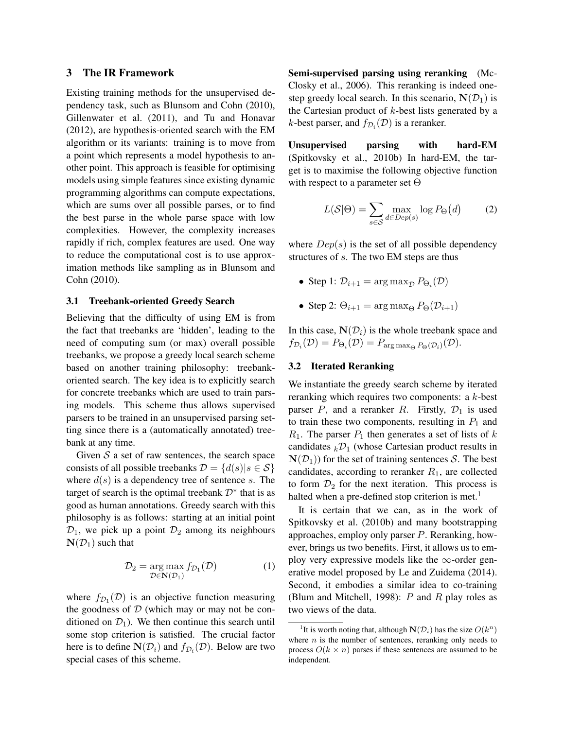### 3 The IR Framework

Existing training methods for the unsupervised dependency task, such as Blunsom and Cohn (2010), Gillenwater et al. (2011), and Tu and Honavar (2012), are hypothesis-oriented search with the EM algorithm or its variants: training is to move from a point which represents a model hypothesis to another point. This approach is feasible for optimising models using simple features since existing dynamic programming algorithms can compute expectations, which are sums over all possible parses, or to find the best parse in the whole parse space with low complexities. However, the complexity increases rapidly if rich, complex features are used. One way to reduce the computational cost is to use approximation methods like sampling as in Blunsom and Cohn (2010).

#### 3.1 Treebank-oriented Greedy Search

Believing that the difficulty of using EM is from the fact that treebanks are 'hidden', leading to the need of computing sum (or max) overall possible treebanks, we propose a greedy local search scheme based on another training philosophy: treebankoriented search. The key idea is to explicitly search for concrete treebanks which are used to train parsing models. This scheme thus allows supervised parsers to be trained in an unsupervised parsing setting since there is a (automatically annotated) treebank at any time.

Given  $S$  a set of raw sentences, the search space consists of all possible treebanks  $\mathcal{D} = \{d(s)|s \in \mathcal{S}\}\$ where  $d(s)$  is a dependency tree of sentence s. The target of search is the optimal treebank  $\mathcal{D}^*$  that is as good as human annotations. Greedy search with this philosophy is as follows: starting at an initial point  $\mathcal{D}_1$ , we pick up a point  $\mathcal{D}_2$  among its neighbours  $N(\mathcal{D}_1)$  such that

$$
\mathcal{D}_2 = \underset{\mathcal{D} \in \mathbf{N}(\mathcal{D}_1)}{\arg \max} f_{\mathcal{D}_1}(\mathcal{D}) \tag{1}
$$

where  $f_{\mathcal{D}_1}(\mathcal{D})$  is an objective function measuring the goodness of  $D$  (which may or may not be conditioned on  $\mathcal{D}_1$ ). We then continue this search until some stop criterion is satisfied. The crucial factor here is to define  $\mathbf{N}(\mathcal{D}_i)$  and  $f_{\mathcal{D}_i}(\mathcal{D})$ . Below are two special cases of this scheme.

Semi-supervised parsing using reranking (Mc-Closky et al., 2006). This reranking is indeed onestep greedy local search. In this scenario,  $N(\mathcal{D}_1)$  is the Cartesian product of  $k$ -best lists generated by a *k*-best parser, and  $f_{\mathcal{D}_i}(\mathcal{D})$  is a reranker.

Unsupervised parsing with hard-EM (Spitkovsky et al., 2010b) In hard-EM, the target is to maximise the following objective function with respect to a parameter set  $\Theta$ 

$$
L(S|\Theta) = \sum_{s \in \mathcal{S}} \max_{d \in Dep(s)} \log P_{\Theta}(d) \tag{2}
$$

where  $Dep(s)$  is the set of all possible dependency structures of s. The two EM steps are thus

- Step 1:  $\mathcal{D}_{i+1} = \arg \max_{\mathcal{D}} P_{\Theta_i}(\mathcal{D})$
- Step 2:  $\Theta_{i+1} = \arg \max_{\Theta} P_{\Theta}(\mathcal{D}_{i+1})$

In this case,  $N(\mathcal{D}_i)$  is the whole treebank space and  $f_{\mathcal{D}_i}(\mathcal{D}) = P_{\Theta_i}(\mathcal{D}) = P_{\text{arg max}_{\Theta} P_{\Theta}(\mathcal{D}_i)}(\mathcal{D}).$ 

### 3.2 Iterated Reranking

We instantiate the greedy search scheme by iterated reranking which requires two components: a k-best parser  $P$ , and a reranker  $R$ . Firstly,  $\mathcal{D}_1$  is used to train these two components, resulting in  $P_1$  and  $R_1$ . The parser  $P_1$  then generates a set of lists of k candidates  $k\mathcal{D}_1$  (whose Cartesian product results in  $N(\mathcal{D}_1)$  for the set of training sentences S. The best candidates, according to reranker  $R_1$ , are collected to form  $\mathcal{D}_2$  for the next iteration. This process is halted when a pre-defined stop criterion is met.<sup>1</sup>

It is certain that we can, as in the work of Spitkovsky et al. (2010b) and many bootstrapping approaches, employ only parser P. Reranking, however, brings us two benefits. First, it allows us to employ very expressive models like the  $\infty$ -order generative model proposed by Le and Zuidema (2014). Second, it embodies a similar idea to co-training (Blum and Mitchell, 1998):  $P$  and  $R$  play roles as two views of the data.

<sup>&</sup>lt;sup>1</sup>It is worth noting that, although  $N(\mathcal{D}_i)$  has the size  $O(k^n)$ where  $n$  is the number of sentences, reranking only needs to process  $O(k \times n)$  parses if these sentences are assumed to be independent.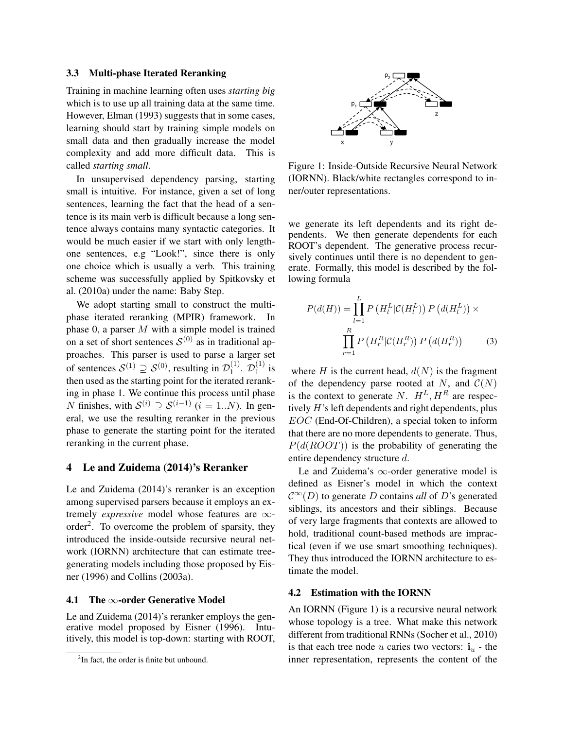#### 3.3 Multi-phase Iterated Reranking

Training in machine learning often uses *starting big* which is to use up all training data at the same time. However, Elman (1993) suggests that in some cases, learning should start by training simple models on small data and then gradually increase the model complexity and add more difficult data. This is called *starting small*.

In unsupervised dependency parsing, starting small is intuitive. For instance, given a set of long sentences, learning the fact that the head of a sentence is its main verb is difficult because a long sentence always contains many syntactic categories. It would be much easier if we start with only lengthone sentences, e.g "Look!", since there is only one choice which is usually a verb. This training scheme was successfully applied by Spitkovsky et al. (2010a) under the name: Baby Step.

We adopt starting small to construct the multiphase iterated reranking (MPIR) framework. In phase 0, a parser  $M$  with a simple model is trained on a set of short sentences  $S^{(0)}$  as in traditional approaches. This parser is used to parse a larger set of sentences  $S^{(1)} \supseteq S^{(0)}$ , resulting in  $\mathcal{D}_1^{(1)}$  $\stackrel{(1)}{1}$ .  $\mathcal{D}^{(1)}_1$  $i^{(1)}$  is then used as the starting point for the iterated reranking in phase 1. We continue this process until phase N finishes, with  $S^{(i)} \supseteq S^{(i-1)}$   $(i = 1..N)$ . In general, we use the resulting reranker in the previous phase to generate the starting point for the iterated reranking in the current phase.

### 4 Le and Zuidema (2014)'s Reranker

Le and Zuidema (2014)'s reranker is an exception among supervised parsers because it employs an extremely *expressive* model whose features are ∞ order<sup>2</sup>. To overcome the problem of sparsity, they introduced the inside-outside recursive neural network (IORNN) architecture that can estimate treegenerating models including those proposed by Eisner (1996) and Collins (2003a).

#### 4.1 The  $\infty$ -order Generative Model

Le and Zuidema (2014)'s reranker employs the generative model proposed by Eisner (1996). Intuitively, this model is top-down: starting with ROOT,



Figure 1: Inside-Outside Recursive Neural Network (IORNN). Black/white rectangles correspond to inner/outer representations.

we generate its left dependents and its right dependents. We then generate dependents for each ROOT's dependent. The generative process recursively continues until there is no dependent to generate. Formally, this model is described by the following formula

$$
P(d(H)) = \prod_{l=1}^{L} P\left(H_l^L | \mathcal{C}(H_l^L)\right) P\left(d(H_l^L)\right) \times \prod_{r=1}^{R} P\left(H_r^R | \mathcal{C}(H_r^R)\right) P\left(d(H_r^R)\right) \tag{3}
$$

where H is the current head,  $d(N)$  is the fragment of the dependency parse rooted at N, and  $C(N)$ is the context to generate N.  $H^L$ ,  $H^R$  are respectively  $H$ 's left dependents and right dependents, plus EOC (End-Of-Children), a special token to inform that there are no more dependents to generate. Thus,  $P(d(ROOT))$  is the probability of generating the entire dependency structure d.

Le and Zuidema's  $\infty$ -order generative model is defined as Eisner's model in which the context  $\mathcal{C}^{\infty}(D)$  to generate D contains *all* of D's generated siblings, its ancestors and their siblings. Because of very large fragments that contexts are allowed to hold, traditional count-based methods are impractical (even if we use smart smoothing techniques). They thus introduced the IORNN architecture to estimate the model.

#### 4.2 Estimation with the IORNN

An IORNN (Figure 1) is a recursive neural network whose topology is a tree. What make this network different from traditional RNNs (Socher et al., 2010) is that each tree node u caries two vectors:  $\mathbf{i}_u$  - the inner representation, represents the content of the

<sup>&</sup>lt;sup>2</sup>In fact, the order is finite but unbound.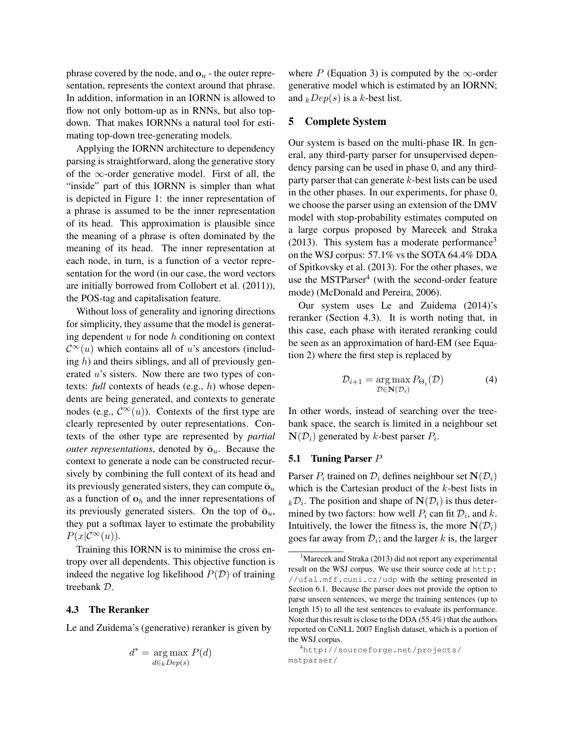phrase covered by the node, and  $\mathbf{o}_u$  - the outer representation, represents the context around that phrase. In addition, information in an IORNN is allowed to flow not only bottom-up as in RNNs, but also topdown. That makes IORNNs a natural tool for estimating top-down tree-generating models.

Applying the IORNN architecture to dependency parsing is straightforward, along the generative story of the  $\infty$ -order generative model. First of all, the "inside" part of this IORNN is simpler than what is depicted in Figure 1: the inner representation of a phrase is assumed to be the inner representation of its head. This approximation is plausible since the meaning of a phrase is often dominated by the meaning of its head. The inner representation at each node, in turn, is a function of a vector representation for the word (in our case, the word vectors are initially borrowed from Collobert et al. (2011)), the POS-tag and capitalisation feature.

Without loss of generality and ignoring directions for simplicity, they assume that the model is generating dependent  $u$  for node  $h$  conditioning on context  $\mathcal{C}^{\infty}(u)$  which contains all of u's ancestors (including  $h$ ) and theirs siblings, and all of previously generated u's sisters. Now there are two types of contexts: *full* contexts of heads (e.g., h) whose dependents are being generated, and contexts to generate nodes (e.g.,  $\mathcal{C}^{\infty}(u)$ ). Contexts of the first type are clearly represented by outer representations. Contexts of the other type are represented by *partial outer representations*, denoted by  $\bar{\mathbf{o}}_u$ . Because the context to generate a node can be constructed recursively by combining the full context of its head and its previously generated sisters, they can compute  $\bar{\mathbf{o}}_u$ as a function of  $\mathbf{o}_h$  and the inner representations of its previously generated sisters. On the top of  $\bar{\mathbf{o}}_u$ , they put a softmax layer to estimate the probability  $P(x|C^{\infty}(u)).$ 

Training this IORNN is to minimise the cross entropy over all dependents. This objective function is indeed the negative log likelihood  $P(D)$  of training treebank D.

#### 4.3 The Reranker

Le and Zuidema's (generative) reranker is given by

$$
d^* = \underset{d \in k} {\arg \max} P(d)
$$

where P (Equation 3) is computed by the  $\infty$ -order generative model which is estimated by an IORNN; and  $kDep(s)$  is a k-best list.

### 5 Complete System

Our system is based on the multi-phase IR. In general, any third-party parser for unsupervised dependency parsing can be used in phase 0, and any thirdparty parser that can generate k-best lists can be used in the other phases. In our experiments, for phase 0, we choose the parser using an extension of the DMV model with stop-probability estimates computed on a large corpus proposed by Marecek and Straka (2013). This system has a moderate performance<sup>3</sup> on the WSJ corpus: 57.1% vs the SOTA 64.4% DDA of Spitkovsky et al. (2013). For the other phases, we use the MSTParser<sup>4</sup> (with the second-order feature mode) (McDonald and Pereira, 2006).

Our system uses Le and Zuidema (2014)'s reranker (Section 4.3). It is worth noting that, in this case, each phase with iterated reranking could be seen as an approximation of hard-EM (see Equation 2) where the first step is replaced by

$$
\mathcal{D}_{i+1} = \underset{\mathcal{D} \in \mathbf{N}(\mathcal{D}_i)}{\arg \max} P_{\Theta_i}(\mathcal{D}) \tag{4}
$$

In other words, instead of searching over the treebank space, the search is limited in a neighbour set  $N(\mathcal{D}_i)$  generated by k-best parser  $P_i$ .

#### 5.1 Tuning Parser P

Parser  $P_i$  trained on  $\mathcal{D}_i$  defines neighbour set  $\mathbf{N}(\mathcal{D}_i)$ which is the Cartesian product of the  $k$ -best lists in  $k\mathcal{D}_i$ . The position and shape of  $\mathbf{N}(\mathcal{D}_i)$  is thus determined by two factors: how well  $P_i$  can fit  $\mathcal{D}_i$ , and k. Intuitively, the lower the fitness is, the more  $N(\mathcal{D}_i)$ goes far away from  $\mathcal{D}_i$ ; and the larger k is, the larger

<sup>&</sup>lt;sup>3</sup>Marecek and Straka (2013) did not report any experimental result on the WSJ corpus. We use their source code at http: //ufal.mff.cuni.cz/udp with the setting presented in Section 6.1. Because the parser does not provide the option to parse unseen sentences, we merge the training sentences (up to length 15) to all the test sentences to evaluate its performance. Note that this result is close to the DDA (55.4%) that the authors reported on CoNLL 2007 English dataset, which is a portion of the WSJ corpus.

<sup>4</sup>http://sourceforge.net/projects/ mstparser/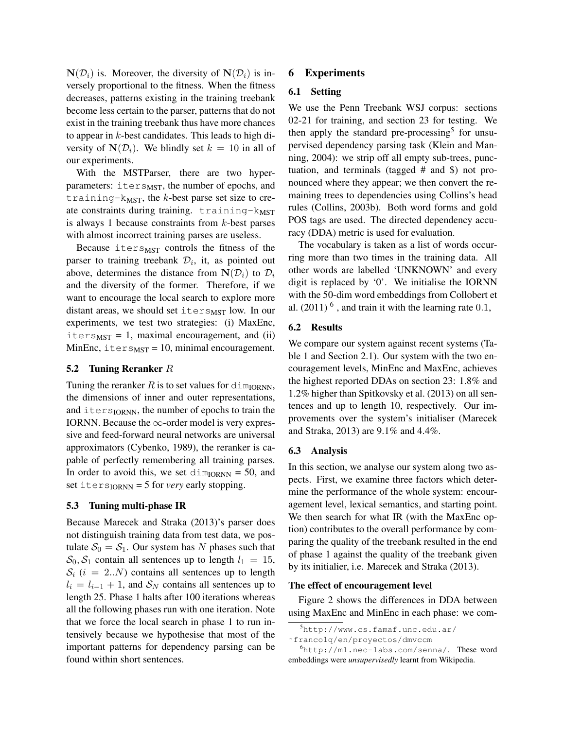$N(\mathcal{D}_i)$  is. Moreover, the diversity of  $N(\mathcal{D}_i)$  is inversely proportional to the fitness. When the fitness decreases, patterns existing in the training treebank become less certain to the parser, patterns that do not exist in the training treebank thus have more chances to appear in k-best candidates. This leads to high diversity of  $N(\mathcal{D}_i)$ . We blindly set  $k = 10$  in all of our experiments.

With the MSTParser, there are two hyperparameters:  $i$ ters $_{MST}$ , the number of epochs, and training- $k$ <sub>MST</sub>, the  $k$ -best parse set size to create constraints during training.  $training$ -k<sub>MST</sub> is always 1 because constraints from  $k$ -best parses with almost incorrect training parses are useless.

Because iters $MST$  controls the fitness of the parser to training treebank  $\mathcal{D}_i$ , it, as pointed out above, determines the distance from  $N(\mathcal{D}_i)$  to  $\mathcal{D}_i$ and the diversity of the former. Therefore, if we want to encourage the local search to explore more distant areas, we should set iters $_{\text{MST}}$  low. In our experiments, we test two strategies: (i) MaxEnc,  $iters_{MST} = 1$ , maximal encouragement, and (ii) MinEnc, iters $_{MST}$  = 10, minimal encouragement.

### 5.2 Tuning Reranker R

Tuning the reranker R is to set values for  $\dim_{\text{IORM}}$ , the dimensions of inner and outer representations, and  $i$ ters $I$ <sub>ORNN</sub>, the number of epochs to train the IORNN. Because the  $\infty$ -order model is very expressive and feed-forward neural networks are universal approximators (Cybenko, 1989), the reranker is capable of perfectly remembering all training parses. In order to avoid this, we set  $\dim_{\text{IORM}} = 50$ , and set  $iters_{IORMN} = 5$  for *very* early stopping.

### 5.3 Tuning multi-phase IR

Because Marecek and Straka (2013)'s parser does not distinguish training data from test data, we postulate  $S_0 = S_1$ . Our system has N phases such that  $S_0, S_1$  contain all sentences up to length  $l_1 = 15$ ,  $S_i$  (i = 2..*N*) contains all sentences up to length  $l_i = l_{i-1} + 1$ , and  $S_N$  contains all sentences up to length 25. Phase 1 halts after 100 iterations whereas all the following phases run with one iteration. Note that we force the local search in phase 1 to run intensively because we hypothesise that most of the important patterns for dependency parsing can be found within short sentences.

# 6 Experiments

#### 6.1 Setting

We use the Penn Treebank WSJ corpus: sections 02-21 for training, and section 23 for testing. We then apply the standard pre-processing<sup>5</sup> for unsupervised dependency parsing task (Klein and Manning, 2004): we strip off all empty sub-trees, punctuation, and terminals (tagged # and \$) not pronounced where they appear; we then convert the remaining trees to dependencies using Collins's head rules (Collins, 2003b). Both word forms and gold POS tags are used. The directed dependency accuracy (DDA) metric is used for evaluation.

The vocabulary is taken as a list of words occurring more than two times in the training data. All other words are labelled 'UNKNOWN' and every digit is replaced by '0'. We initialise the IORNN with the 50-dim word embeddings from Collobert et al.  $(2011)^{6}$ , and train it with the learning rate 0.1,

### 6.2 Results

We compare our system against recent systems (Table 1 and Section 2.1). Our system with the two encouragement levels, MinEnc and MaxEnc, achieves the highest reported DDAs on section 23: 1.8% and 1.2% higher than Spitkovsky et al. (2013) on all sentences and up to length 10, respectively. Our improvements over the system's initialiser (Marecek and Straka, 2013) are 9.1% and 4.4%.

#### 6.3 Analysis

In this section, we analyse our system along two aspects. First, we examine three factors which determine the performance of the whole system: encouragement level, lexical semantics, and starting point. We then search for what IR (with the MaxEnc option) contributes to the overall performance by comparing the quality of the treebank resulted in the end of phase 1 against the quality of the treebank given by its initialier, i.e. Marecek and Straka (2013).

#### The effect of encouragement level

Figure 2 shows the differences in DDA between using MaxEnc and MinEnc in each phase: we com-

<sup>5</sup>http://www.cs.famaf.unc.edu.ar/

<sup>˜</sup>francolq/en/proyectos/dmvccm

<sup>6</sup>http://ml.nec-labs.com/senna/. These word embeddings were *unsupervisedly* learnt from Wikipedia.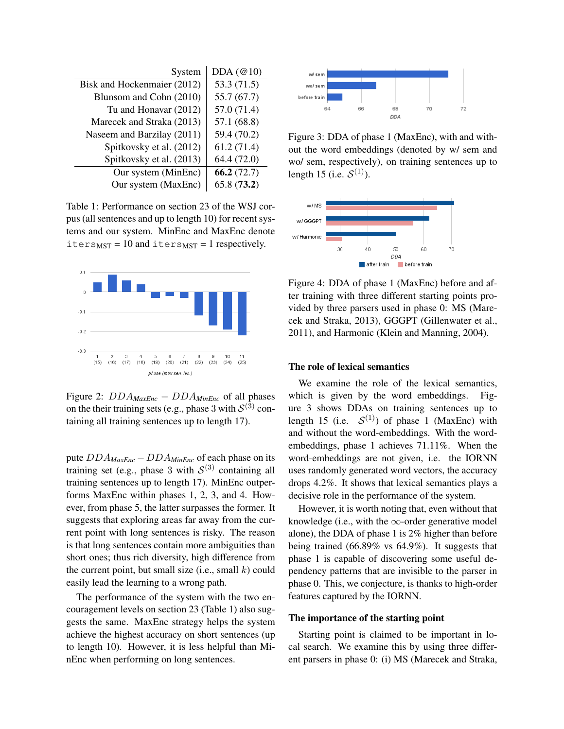| System                      | DDA $(\mathcal{Q}10)$ |
|-----------------------------|-----------------------|
| Bisk and Hockenmaier (2012) | 53.3(71.5)            |
| Blunsom and Cohn (2010)     | 55.7(67.7)            |
| Tu and Honavar (2012)       | 57.0 (71.4)           |
| Marecek and Straka (2013)   | 57.1 (68.8)           |
| Naseem and Barzilay (2011)  | 59.4 (70.2)           |
| Spitkovsky et al. (2012)    | 61.2(71.4)            |
| Spitkovsky et al. (2013)    | 64.4 (72.0)           |
| Our system (MinEnc)         | 66.2(72.7)            |
| Our system (MaxEnc)         | 65.8(73.2)            |

Table 1: Performance on section 23 of the WSJ corpus (all sentences and up to length 10) for recent systems and our system. MinEnc and MaxEnc denote  $iters<sub>MST</sub> = 10$  and  $iters<sub>MST</sub> = 1$  respectively.



Figure 2: DDA*MaxEnc* − DDA*MinEnc* of all phases on the their training sets (e.g., phase 3 with  $\mathcal{S}^{(3)}$  containing all training sentences up to length 17).

pute DDA*MaxEnc* − DDA*MinEnc* of each phase on its training set (e.g., phase 3 with  $S^{(3)}$  containing all training sentences up to length 17). MinEnc outperforms MaxEnc within phases 1, 2, 3, and 4. However, from phase 5, the latter surpasses the former. It suggests that exploring areas far away from the current point with long sentences is risky. The reason is that long sentences contain more ambiguities than short ones; thus rich diversity, high difference from the current point, but small size (i.e., small  $k$ ) could easily lead the learning to a wrong path.

The performance of the system with the two encouragement levels on section 23 (Table 1) also suggests the same. MaxEnc strategy helps the system achieve the highest accuracy on short sentences (up to length 10). However, it is less helpful than MinEnc when performing on long sentences.



Figure 3: DDA of phase 1 (MaxEnc), with and without the word embeddings (denoted by w/ sem and wo/ sem, respectively), on training sentences up to length 15 (i.e.  $S^{(1)}$ ).



Figure 4: DDA of phase 1 (MaxEnc) before and after training with three different starting points provided by three parsers used in phase 0: MS (Marecek and Straka, 2013), GGGPT (Gillenwater et al., 2011), and Harmonic (Klein and Manning, 2004).

### The role of lexical semantics

We examine the role of the lexical semantics, which is given by the word embeddings. Figure 3 shows DDAs on training sentences up to length 15 (i.e.  $S^{(1)}$ ) of phase 1 (MaxEnc) with and without the word-embeddings. With the wordembeddings, phase 1 achieves 71.11%. When the word-embeddings are not given, i.e. the IORNN uses randomly generated word vectors, the accuracy drops 4.2%. It shows that lexical semantics plays a decisive role in the performance of the system.

However, it is worth noting that, even without that knowledge (i.e., with the  $\infty$ -order generative model alone), the DDA of phase 1 is 2% higher than before being trained (66.89% vs 64.9%). It suggests that phase 1 is capable of discovering some useful dependency patterns that are invisible to the parser in phase 0. This, we conjecture, is thanks to high-order features captured by the IORNN.

### The importance of the starting point

Starting point is claimed to be important in local search. We examine this by using three different parsers in phase 0: (i) MS (Marecek and Straka,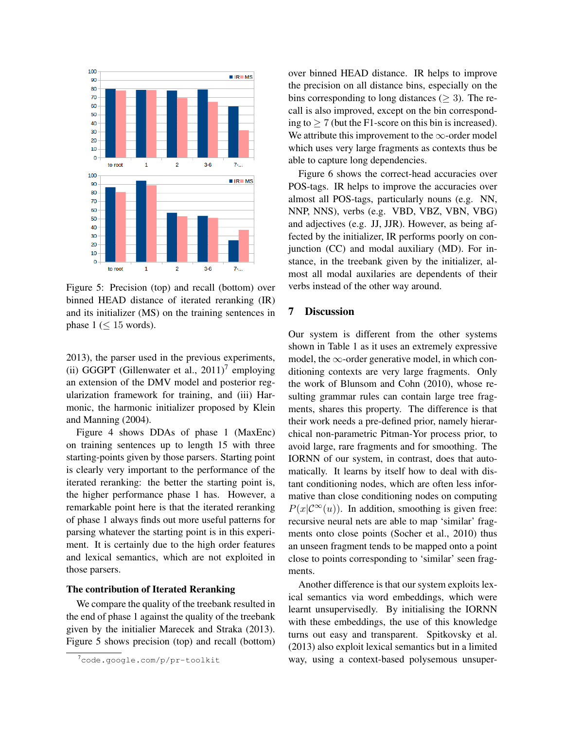

Figure 5: Precision (top) and recall (bottom) over binned HEAD distance of iterated reranking (IR) and its initializer (MS) on the training sentences in phase  $1 \leq 15$  words).

2013), the parser used in the previous experiments, (ii) GGGPT (Gillenwater et al.,  $2011$ )<sup>7</sup> employing an extension of the DMV model and posterior regularization framework for training, and (iii) Harmonic, the harmonic initializer proposed by Klein and Manning (2004).

Figure 4 shows DDAs of phase 1 (MaxEnc) on training sentences up to length 15 with three starting-points given by those parsers. Starting point is clearly very important to the performance of the iterated reranking: the better the starting point is, the higher performance phase 1 has. However, a remarkable point here is that the iterated reranking of phase 1 always finds out more useful patterns for parsing whatever the starting point is in this experiment. It is certainly due to the high order features and lexical semantics, which are not exploited in those parsers.

### The contribution of Iterated Reranking

We compare the quality of the treebank resulted in the end of phase 1 against the quality of the treebank given by the initialier Marecek and Straka (2013). Figure 5 shows precision (top) and recall (bottom) over binned HEAD distance. IR helps to improve the precision on all distance bins, especially on the bins corresponding to long distances ( $\geq$  3). The recall is also improved, except on the bin corresponding to  $> 7$  (but the F1-score on this bin is increased). We attribute this improvement to the  $\infty$ -order model which uses very large fragments as contexts thus be able to capture long dependencies.

Figure 6 shows the correct-head accuracies over POS-tags. IR helps to improve the accuracies over almost all POS-tags, particularly nouns (e.g. NN, NNP, NNS), verbs (e.g. VBD, VBZ, VBN, VBG) and adjectives (e.g. JJ, JJR). However, as being affected by the initializer, IR performs poorly on conjunction (CC) and modal auxiliary (MD). For instance, in the treebank given by the initializer, almost all modal auxilaries are dependents of their verbs instead of the other way around.

### 7 Discussion

Our system is different from the other systems shown in Table 1 as it uses an extremely expressive model, the  $\infty$ -order generative model, in which conditioning contexts are very large fragments. Only the work of Blunsom and Cohn (2010), whose resulting grammar rules can contain large tree fragments, shares this property. The difference is that their work needs a pre-defined prior, namely hierarchical non-parametric Pitman-Yor process prior, to avoid large, rare fragments and for smoothing. The IORNN of our system, in contrast, does that automatically. It learns by itself how to deal with distant conditioning nodes, which are often less informative than close conditioning nodes on computing  $P(x|C^{\infty}(u))$ . In addition, smoothing is given free: recursive neural nets are able to map 'similar' fragments onto close points (Socher et al., 2010) thus an unseen fragment tends to be mapped onto a point close to points corresponding to 'similar' seen fragments.

Another difference is that our system exploits lexical semantics via word embeddings, which were learnt unsupervisedly. By initialising the IORNN with these embeddings, the use of this knowledge turns out easy and transparent. Spitkovsky et al. (2013) also exploit lexical semantics but in a limited way, using a context-based polysemous unsuper-

<sup>7</sup>code.google.com/p/pr-toolkit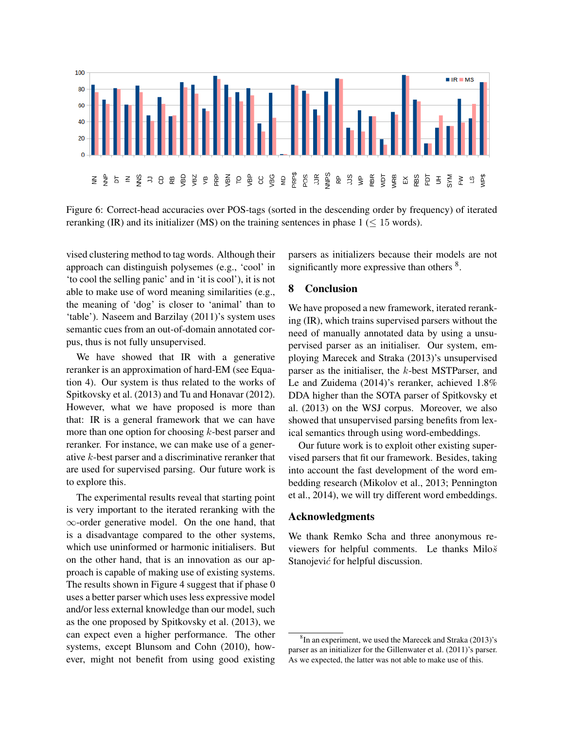

Figure 6: Correct-head accuracies over POS-tags (sorted in the descending order by frequency) of iterated reranking (IR) and its initializer (MS) on the training sentences in phase  $1 \leq 15$  words).

vised clustering method to tag words. Although their approach can distinguish polysemes (e.g., 'cool' in 'to cool the selling panic' and in 'it is cool'), it is not able to make use of word meaning similarities (e.g., the meaning of 'dog' is closer to 'animal' than to 'table'). Naseem and Barzilay (2011)'s system uses semantic cues from an out-of-domain annotated corpus, thus is not fully unsupervised.

We have showed that IR with a generative reranker is an approximation of hard-EM (see Equation 4). Our system is thus related to the works of Spitkovsky et al. (2013) and Tu and Honavar (2012). However, what we have proposed is more than that: IR is a general framework that we can have more than one option for choosing k-best parser and reranker. For instance, we can make use of a generative k-best parser and a discriminative reranker that are used for supervised parsing. Our future work is to explore this.

The experimental results reveal that starting point is very important to the iterated reranking with the ∞-order generative model. On the one hand, that is a disadvantage compared to the other systems, which use uninformed or harmonic initialisers. But on the other hand, that is an innovation as our approach is capable of making use of existing systems. The results shown in Figure 4 suggest that if phase 0 uses a better parser which uses less expressive model and/or less external knowledge than our model, such as the one proposed by Spitkovsky et al. (2013), we can expect even a higher performance. The other systems, except Blunsom and Cohn (2010), however, might not benefit from using good existing parsers as initializers because their models are not significantly more expressive than others <sup>8</sup>.

# 8 Conclusion

We have proposed a new framework, iterated reranking (IR), which trains supervised parsers without the need of manually annotated data by using a unsupervised parser as an initialiser. Our system, employing Marecek and Straka (2013)'s unsupervised parser as the initialiser, the k-best MSTParser, and Le and Zuidema (2014)'s reranker, achieved 1.8% DDA higher than the SOTA parser of Spitkovsky et al. (2013) on the WSJ corpus. Moreover, we also showed that unsupervised parsing benefits from lexical semantics through using word-embeddings.

Our future work is to exploit other existing supervised parsers that fit our framework. Besides, taking into account the fast development of the word embedding research (Mikolov et al., 2013; Pennington et al., 2014), we will try different word embeddings.

#### Acknowledgments

We thank Remko Scha and three anonymous reviewers for helpful comments. Le thanks  $Milo\breve{s}$ Stanojević for helpful discussion.

<sup>&</sup>lt;sup>8</sup>In an experiment, we used the Marecek and Straka (2013)'s parser as an initializer for the Gillenwater et al. (2011)'s parser. As we expected, the latter was not able to make use of this.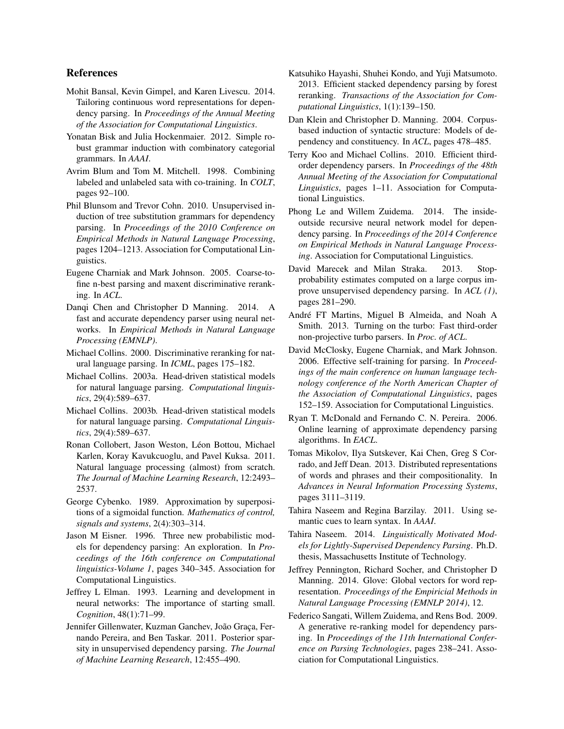### References

- Mohit Bansal, Kevin Gimpel, and Karen Livescu. 2014. Tailoring continuous word representations for dependency parsing. In *Proceedings of the Annual Meeting of the Association for Computational Linguistics*.
- Yonatan Bisk and Julia Hockenmaier. 2012. Simple robust grammar induction with combinatory categorial grammars. In *AAAI*.
- Avrim Blum and Tom M. Mitchell. 1998. Combining labeled and unlabeled sata with co-training. In *COLT*, pages 92–100.
- Phil Blunsom and Trevor Cohn. 2010. Unsupervised induction of tree substitution grammars for dependency parsing. In *Proceedings of the 2010 Conference on Empirical Methods in Natural Language Processing*, pages 1204–1213. Association for Computational Linguistics.
- Eugene Charniak and Mark Johnson. 2005. Coarse-tofine n-best parsing and maxent discriminative reranking. In *ACL*.
- Danqi Chen and Christopher D Manning. 2014. A fast and accurate dependency parser using neural networks. In *Empirical Methods in Natural Language Processing (EMNLP)*.
- Michael Collins. 2000. Discriminative reranking for natural language parsing. In *ICML*, pages 175–182.
- Michael Collins. 2003a. Head-driven statistical models for natural language parsing. *Computational linguistics*, 29(4):589–637.
- Michael Collins. 2003b. Head-driven statistical models for natural language parsing. *Computational Linguistics*, 29(4):589–637.
- Ronan Collobert, Jason Weston, Léon Bottou, Michael Karlen, Koray Kavukcuoglu, and Pavel Kuksa. 2011. Natural language processing (almost) from scratch. *The Journal of Machine Learning Research*, 12:2493– 2537.
- George Cybenko. 1989. Approximation by superpositions of a sigmoidal function. *Mathematics of control, signals and systems*, 2(4):303–314.
- Jason M Eisner. 1996. Three new probabilistic models for dependency parsing: An exploration. In *Proceedings of the 16th conference on Computational linguistics-Volume 1*, pages 340–345. Association for Computational Linguistics.
- Jeffrey L Elman. 1993. Learning and development in neural networks: The importance of starting small. *Cognition*, 48(1):71–99.
- Jennifer Gillenwater, Kuzman Ganchev, João Graça, Fernando Pereira, and Ben Taskar. 2011. Posterior sparsity in unsupervised dependency parsing. *The Journal of Machine Learning Research*, 12:455–490.
- Katsuhiko Hayashi, Shuhei Kondo, and Yuji Matsumoto. 2013. Efficient stacked dependency parsing by forest reranking. *Transactions of the Association for Computational Linguistics*, 1(1):139–150.
- Dan Klein and Christopher D. Manning. 2004. Corpusbased induction of syntactic structure: Models of dependency and constituency. In *ACL*, pages 478–485.
- Terry Koo and Michael Collins. 2010. Efficient thirdorder dependency parsers. In *Proceedings of the 48th Annual Meeting of the Association for Computational Linguistics*, pages 1–11. Association for Computational Linguistics.
- Phong Le and Willem Zuidema. 2014. The insideoutside recursive neural network model for dependency parsing. In *Proceedings of the 2014 Conference on Empirical Methods in Natural Language Processing*. Association for Computational Linguistics.
- David Marecek and Milan Straka. 2013. Stopprobability estimates computed on a large corpus improve unsupervised dependency parsing. In *ACL (1)*, pages 281–290.
- André FT Martins, Miguel B Almeida, and Noah A Smith. 2013. Turning on the turbo: Fast third-order non-projective turbo parsers. In *Proc. of ACL*.
- David McClosky, Eugene Charniak, and Mark Johnson. 2006. Effective self-training for parsing. In *Proceedings of the main conference on human language technology conference of the North American Chapter of the Association of Computational Linguistics*, pages 152–159. Association for Computational Linguistics.
- Ryan T. McDonald and Fernando C. N. Pereira. 2006. Online learning of approximate dependency parsing algorithms. In *EACL*.
- Tomas Mikolov, Ilya Sutskever, Kai Chen, Greg S Corrado, and Jeff Dean. 2013. Distributed representations of words and phrases and their compositionality. In *Advances in Neural Information Processing Systems*, pages 3111–3119.
- Tahira Naseem and Regina Barzilay. 2011. Using semantic cues to learn syntax. In *AAAI*.
- Tahira Naseem. 2014. *Linguistically Motivated Models for Lightly-Supervised Dependency Parsing*. Ph.D. thesis, Massachusetts Institute of Technology.
- Jeffrey Pennington, Richard Socher, and Christopher D Manning. 2014. Glove: Global vectors for word representation. *Proceedings of the Empiricial Methods in Natural Language Processing (EMNLP 2014)*, 12.
- Federico Sangati, Willem Zuidema, and Rens Bod. 2009. A generative re-ranking model for dependency parsing. In *Proceedings of the 11th International Conference on Parsing Technologies*, pages 238–241. Association for Computational Linguistics.